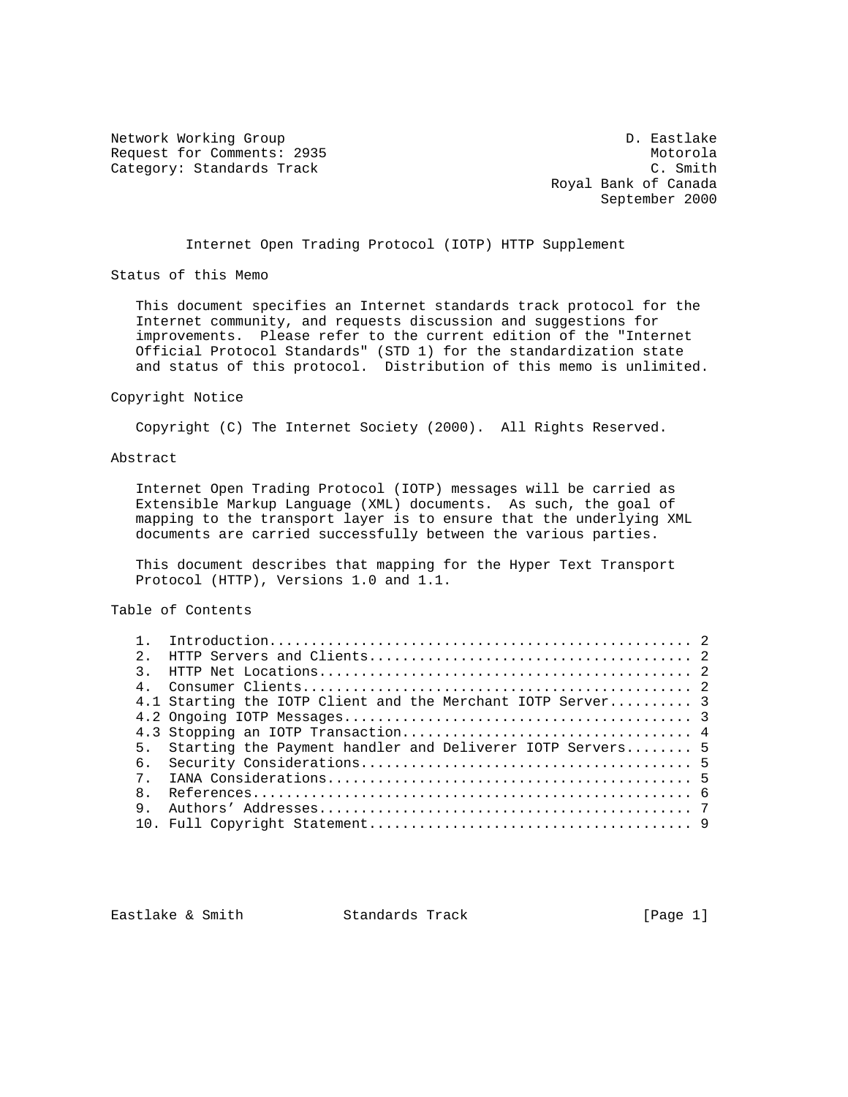Network Working Group and the control of the control of the D. Eastlake Request for Comments: 2935<br>
Category: Standards Track<br>
C. Smith Category: Standards Track

 Royal Bank of Canada September 2000

Internet Open Trading Protocol (IOTP) HTTP Supplement

Status of this Memo

 This document specifies an Internet standards track protocol for the Internet community, and requests discussion and suggestions for improvements. Please refer to the current edition of the "Internet Official Protocol Standards" (STD 1) for the standardization state and status of this protocol. Distribution of this memo is unlimited.

#### Copyright Notice

Copyright (C) The Internet Society (2000). All Rights Reserved.

# Abstract

 Internet Open Trading Protocol (IOTP) messages will be carried as Extensible Markup Language (XML) documents. As such, the goal of mapping to the transport layer is to ensure that the underlying XML documents are carried successfully between the various parties.

 This document describes that mapping for the Hyper Text Transport Protocol (HTTP), Versions 1.0 and 1.1.

Table of Contents

| $2^{\circ}$    |                                                             |  |
|----------------|-------------------------------------------------------------|--|
| $\mathcal{R}$  |                                                             |  |
| $\overline{4}$ |                                                             |  |
|                | 4.1 Starting the IOTP Client and the Merchant IOTP Server 3 |  |
|                |                                                             |  |
|                |                                                             |  |
| 5 <sub>1</sub> | Starting the Payment handler and Deliverer IOTP Servers 5   |  |
| 6.             |                                                             |  |
| 7 <sup>7</sup> |                                                             |  |
| 8              |                                                             |  |
| 9              |                                                             |  |
|                |                                                             |  |
|                |                                                             |  |

Eastlake & Smith Standards Track [Page 1]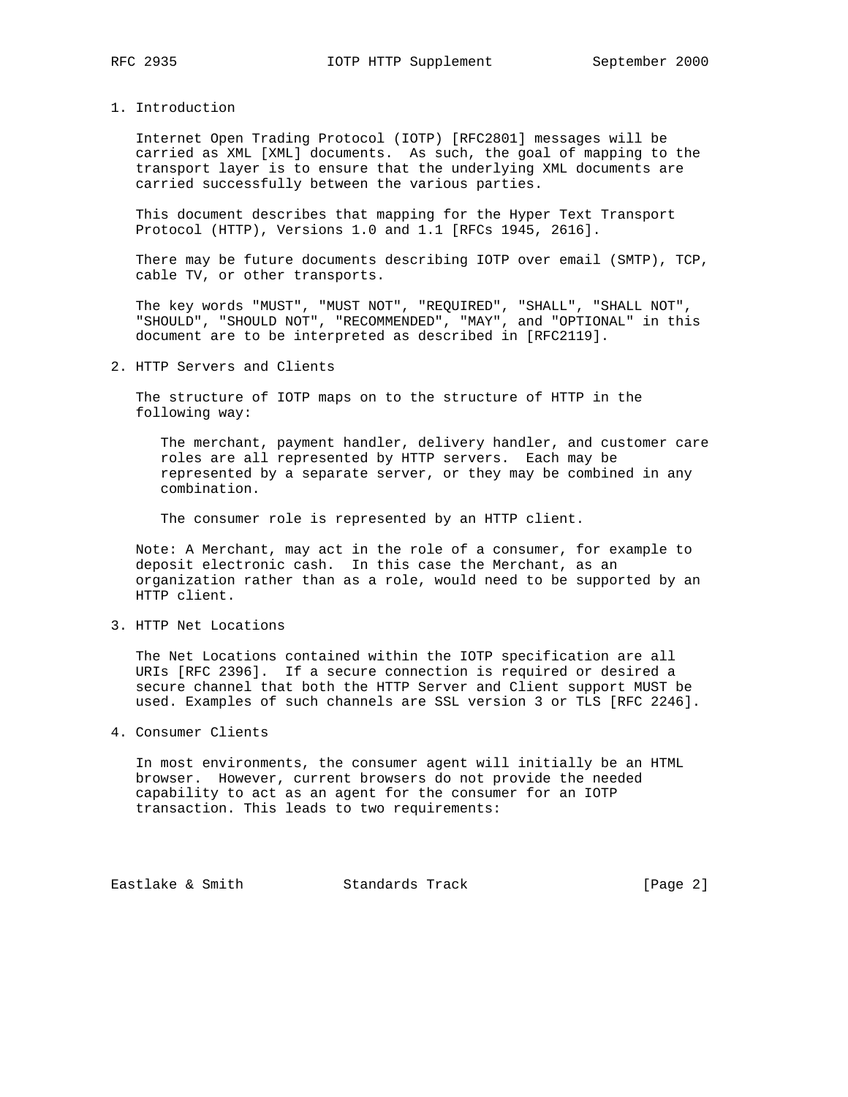## 1. Introduction

 Internet Open Trading Protocol (IOTP) [RFC2801] messages will be carried as XML [XML] documents. As such, the goal of mapping to the transport layer is to ensure that the underlying XML documents are carried successfully between the various parties.

 This document describes that mapping for the Hyper Text Transport Protocol (HTTP), Versions 1.0 and 1.1 [RFCs 1945, 2616].

 There may be future documents describing IOTP over email (SMTP), TCP, cable TV, or other transports.

 The key words "MUST", "MUST NOT", "REQUIRED", "SHALL", "SHALL NOT", "SHOULD", "SHOULD NOT", "RECOMMENDED", "MAY", and "OPTIONAL" in this document are to be interpreted as described in [RFC2119].

# 2. HTTP Servers and Clients

 The structure of IOTP maps on to the structure of HTTP in the following way:

 The merchant, payment handler, delivery handler, and customer care roles are all represented by HTTP servers. Each may be represented by a separate server, or they may be combined in any combination.

The consumer role is represented by an HTTP client.

 Note: A Merchant, may act in the role of a consumer, for example to deposit electronic cash. In this case the Merchant, as an organization rather than as a role, would need to be supported by an HTTP client.

3. HTTP Net Locations

 The Net Locations contained within the IOTP specification are all URIs [RFC 2396]. If a secure connection is required or desired a secure channel that both the HTTP Server and Client support MUST be used. Examples of such channels are SSL version 3 or TLS [RFC 2246].

4. Consumer Clients

 In most environments, the consumer agent will initially be an HTML browser. However, current browsers do not provide the needed capability to act as an agent for the consumer for an IOTP transaction. This leads to two requirements:

Eastlake & Smith Standards Track [Page 2]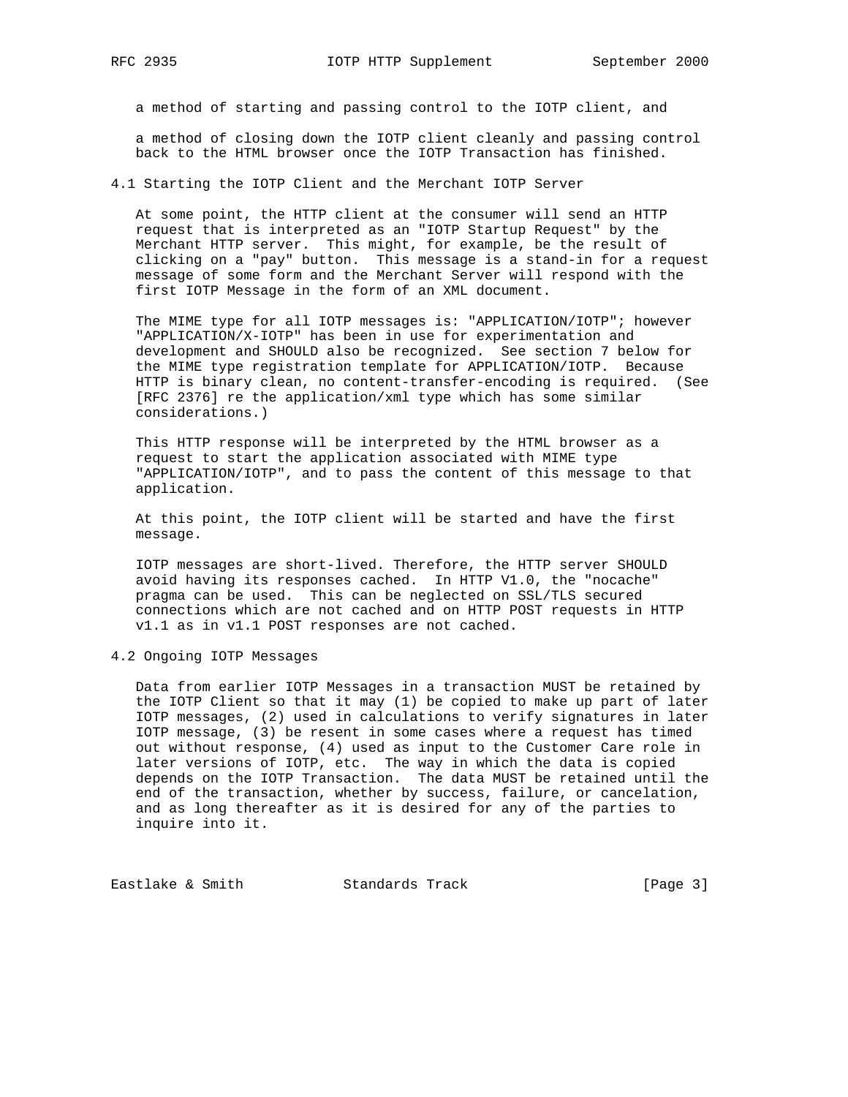a method of starting and passing control to the IOTP client, and

 a method of closing down the IOTP client cleanly and passing control back to the HTML browser once the IOTP Transaction has finished.

4.1 Starting the IOTP Client and the Merchant IOTP Server

 At some point, the HTTP client at the consumer will send an HTTP request that is interpreted as an "IOTP Startup Request" by the Merchant HTTP server. This might, for example, be the result of clicking on a "pay" button. This message is a stand-in for a request message of some form and the Merchant Server will respond with the first IOTP Message in the form of an XML document.

 The MIME type for all IOTP messages is: "APPLICATION/IOTP"; however "APPLICATION/X-IOTP" has been in use for experimentation and development and SHOULD also be recognized. See section 7 below for the MIME type registration template for APPLICATION/IOTP. Because HTTP is binary clean, no content-transfer-encoding is required. (See [RFC 2376] re the application/xml type which has some similar considerations.)

 This HTTP response will be interpreted by the HTML browser as a request to start the application associated with MIME type "APPLICATION/IOTP", and to pass the content of this message to that application.

 At this point, the IOTP client will be started and have the first message.

 IOTP messages are short-lived. Therefore, the HTTP server SHOULD avoid having its responses cached. In HTTP V1.0, the "nocache" pragma can be used. This can be neglected on SSL/TLS secured connections which are not cached and on HTTP POST requests in HTTP v1.1 as in v1.1 POST responses are not cached.

4.2 Ongoing IOTP Messages

 Data from earlier IOTP Messages in a transaction MUST be retained by the IOTP Client so that it may (1) be copied to make up part of later IOTP messages, (2) used in calculations to verify signatures in later IOTP message, (3) be resent in some cases where a request has timed out without response, (4) used as input to the Customer Care role in later versions of IOTP, etc. The way in which the data is copied depends on the IOTP Transaction. The data MUST be retained until the end of the transaction, whether by success, failure, or cancelation, and as long thereafter as it is desired for any of the parties to inquire into it.

Eastlake & Smith Standards Track [Page 3]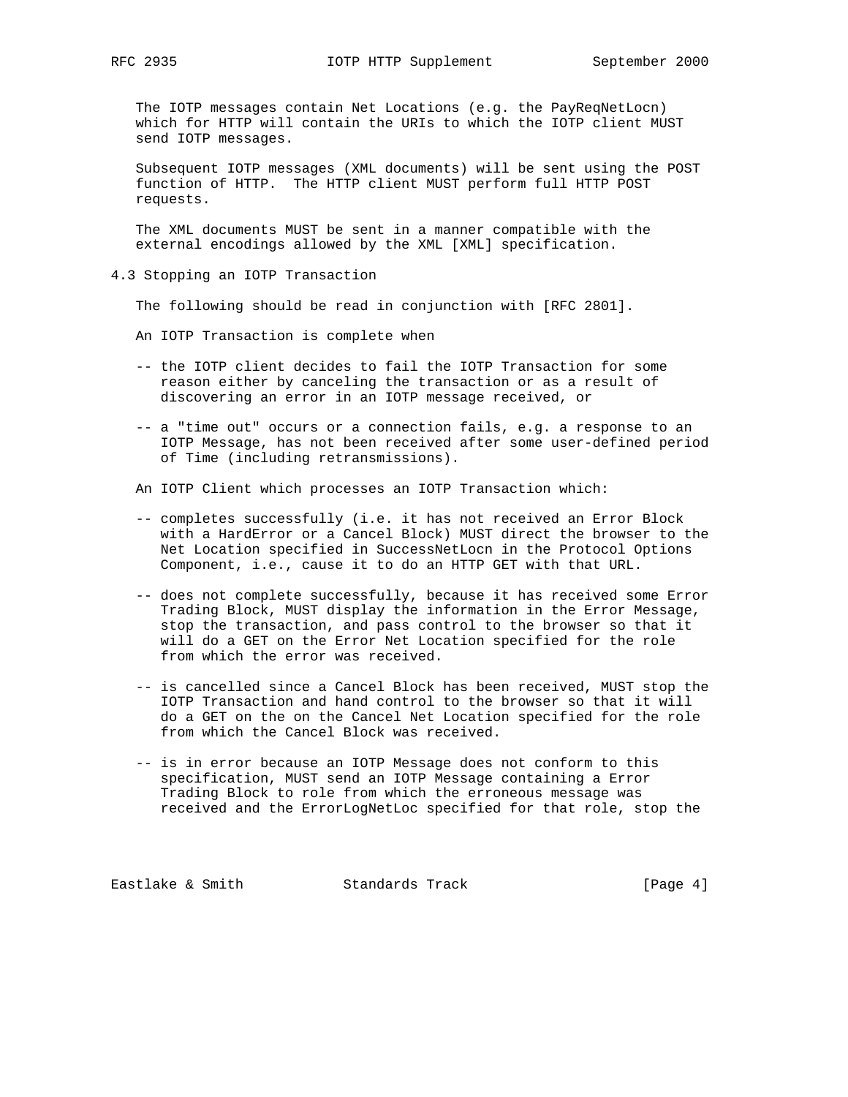The IOTP messages contain Net Locations (e.g. the PayReqNetLocn) which for HTTP will contain the URIs to which the IOTP client MUST send IOTP messages.

 Subsequent IOTP messages (XML documents) will be sent using the POST function of HTTP. The HTTP client MUST perform full HTTP POST requests.

 The XML documents MUST be sent in a manner compatible with the external encodings allowed by the XML [XML] specification.

4.3 Stopping an IOTP Transaction

The following should be read in conjunction with [RFC 2801].

An IOTP Transaction is complete when

- -- the IOTP client decides to fail the IOTP Transaction for some reason either by canceling the transaction or as a result of discovering an error in an IOTP message received, or
- -- a "time out" occurs or a connection fails, e.g. a response to an IOTP Message, has not been received after some user-defined period of Time (including retransmissions).

An IOTP Client which processes an IOTP Transaction which:

- -- completes successfully (i.e. it has not received an Error Block with a HardError or a Cancel Block) MUST direct the browser to the Net Location specified in SuccessNetLocn in the Protocol Options Component, i.e., cause it to do an HTTP GET with that URL.
- -- does not complete successfully, because it has received some Error Trading Block, MUST display the information in the Error Message, stop the transaction, and pass control to the browser so that it will do a GET on the Error Net Location specified for the role from which the error was received.
- -- is cancelled since a Cancel Block has been received, MUST stop the IOTP Transaction and hand control to the browser so that it will do a GET on the on the Cancel Net Location specified for the role from which the Cancel Block was received.
- -- is in error because an IOTP Message does not conform to this specification, MUST send an IOTP Message containing a Error Trading Block to role from which the erroneous message was received and the ErrorLogNetLoc specified for that role, stop the

Eastlake & Smith Standards Track [Page 4]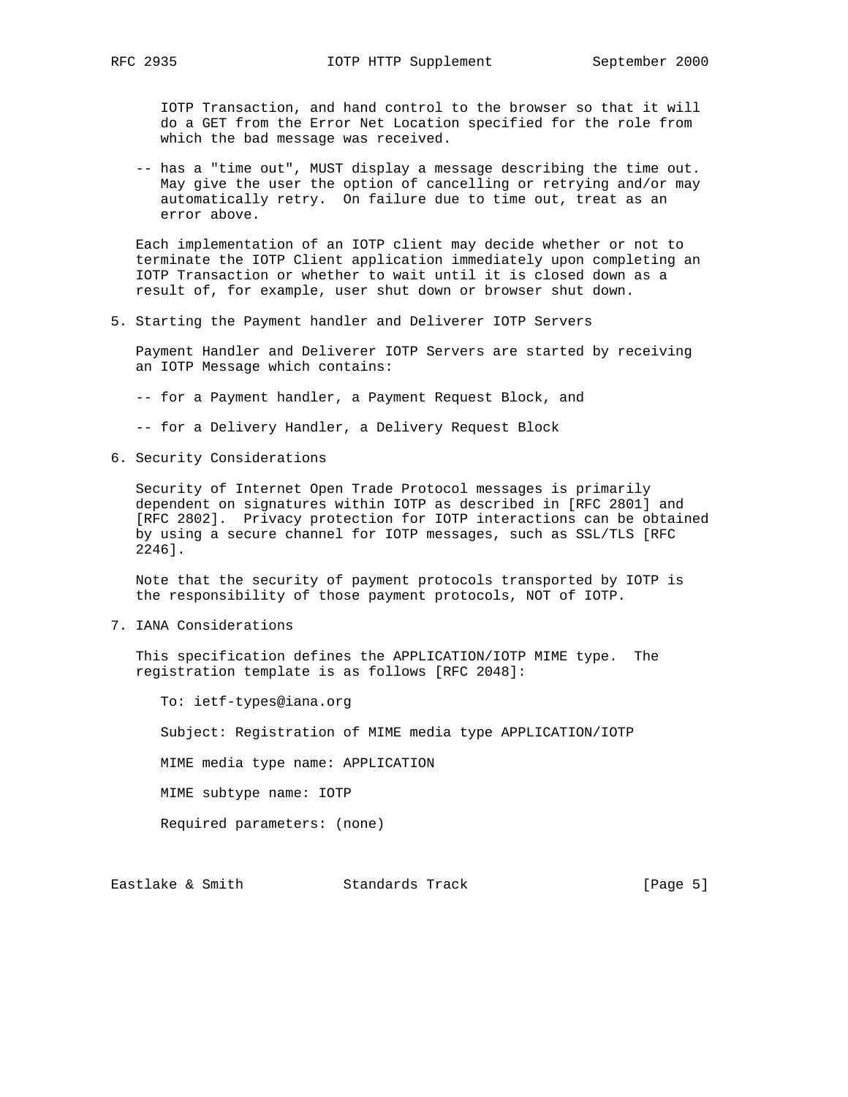IOTP Transaction, and hand control to the browser so that it will do a GET from the Error Net Location specified for the role from which the bad message was received.

 -- has a "time out", MUST display a message describing the time out. May give the user the option of cancelling or retrying and/or may automatically retry. On failure due to time out, treat as an error above.

 Each implementation of an IOTP client may decide whether or not to terminate the IOTP Client application immediately upon completing an IOTP Transaction or whether to wait until it is closed down as a result of, for example, user shut down or browser shut down.

5. Starting the Payment handler and Deliverer IOTP Servers

 Payment Handler and Deliverer IOTP Servers are started by receiving an IOTP Message which contains:

- -- for a Payment handler, a Payment Request Block, and
- -- for a Delivery Handler, a Delivery Request Block
- 6. Security Considerations

 Security of Internet Open Trade Protocol messages is primarily dependent on signatures within IOTP as described in [RFC 2801] and [RFC 2802]. Privacy protection for IOTP interactions can be obtained by using a secure channel for IOTP messages, such as SSL/TLS [RFC 2246].

 Note that the security of payment protocols transported by IOTP is the responsibility of those payment protocols, NOT of IOTP.

7. IANA Considerations

 This specification defines the APPLICATION/IOTP MIME type. The registration template is as follows [RFC 2048]:

 To: ietf-types@iana.org Subject: Registration of MIME media type APPLICATION/IOTP MIME media type name: APPLICATION MIME subtype name: IOTP Required parameters: (none)

Eastlake & Smith Standards Track [Page 5]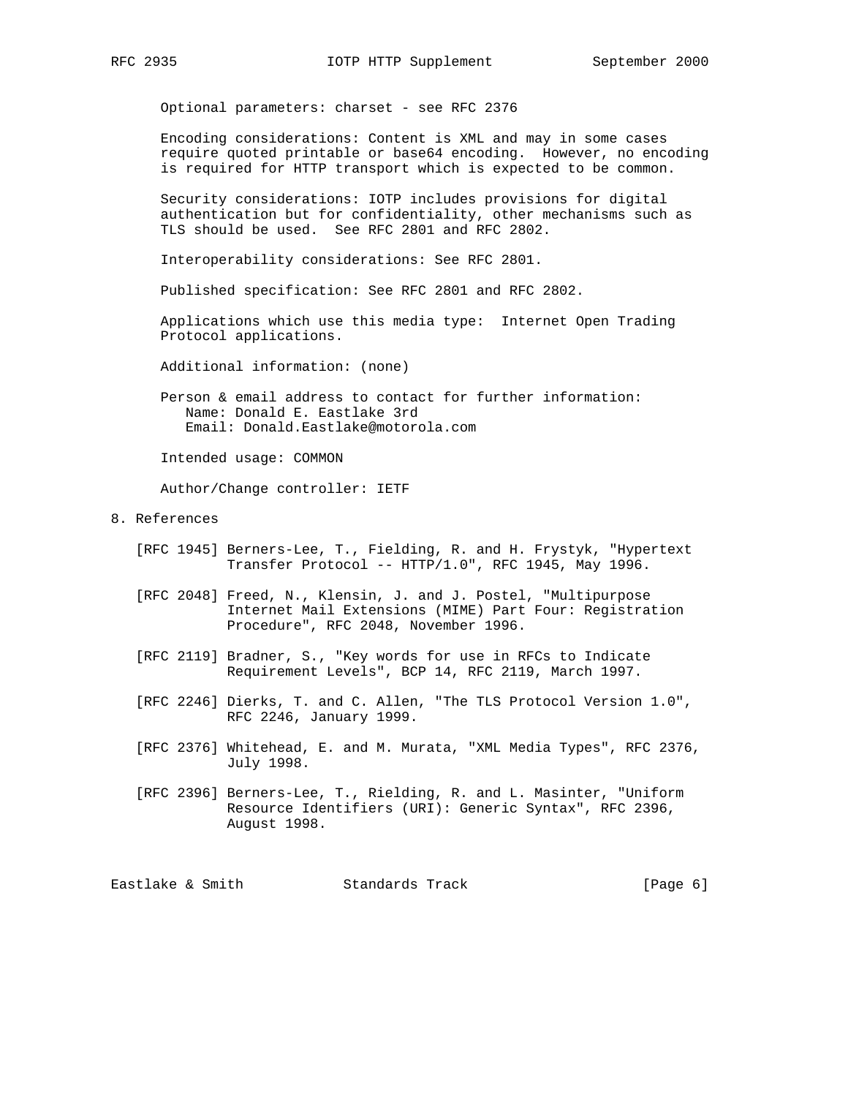Optional parameters: charset - see RFC 2376

 Encoding considerations: Content is XML and may in some cases require quoted printable or base64 encoding. However, no encoding is required for HTTP transport which is expected to be common.

 Security considerations: IOTP includes provisions for digital authentication but for confidentiality, other mechanisms such as TLS should be used. See RFC 2801 and RFC 2802.

Interoperability considerations: See RFC 2801.

Published specification: See RFC 2801 and RFC 2802.

 Applications which use this media type: Internet Open Trading Protocol applications.

Additional information: (none)

 Person & email address to contact for further information: Name: Donald E. Eastlake 3rd Email: Donald.Eastlake@motorola.com

Intended usage: COMMON

Author/Change controller: IETF

- 8. References
	- [RFC 1945] Berners-Lee, T., Fielding, R. and H. Frystyk, "Hypertext Transfer Protocol -- HTTP/1.0", RFC 1945, May 1996.
	- [RFC 2048] Freed, N., Klensin, J. and J. Postel, "Multipurpose Internet Mail Extensions (MIME) Part Four: Registration Procedure", RFC 2048, November 1996.
	- [RFC 2119] Bradner, S., "Key words for use in RFCs to Indicate Requirement Levels", BCP 14, RFC 2119, March 1997.
	- [RFC 2246] Dierks, T. and C. Allen, "The TLS Protocol Version 1.0", RFC 2246, January 1999.
	- [RFC 2376] Whitehead, E. and M. Murata, "XML Media Types", RFC 2376, July 1998.
	- [RFC 2396] Berners-Lee, T., Rielding, R. and L. Masinter, "Uniform Resource Identifiers (URI): Generic Syntax", RFC 2396, August 1998.

Eastlake & Smith Standards Track [Page 6]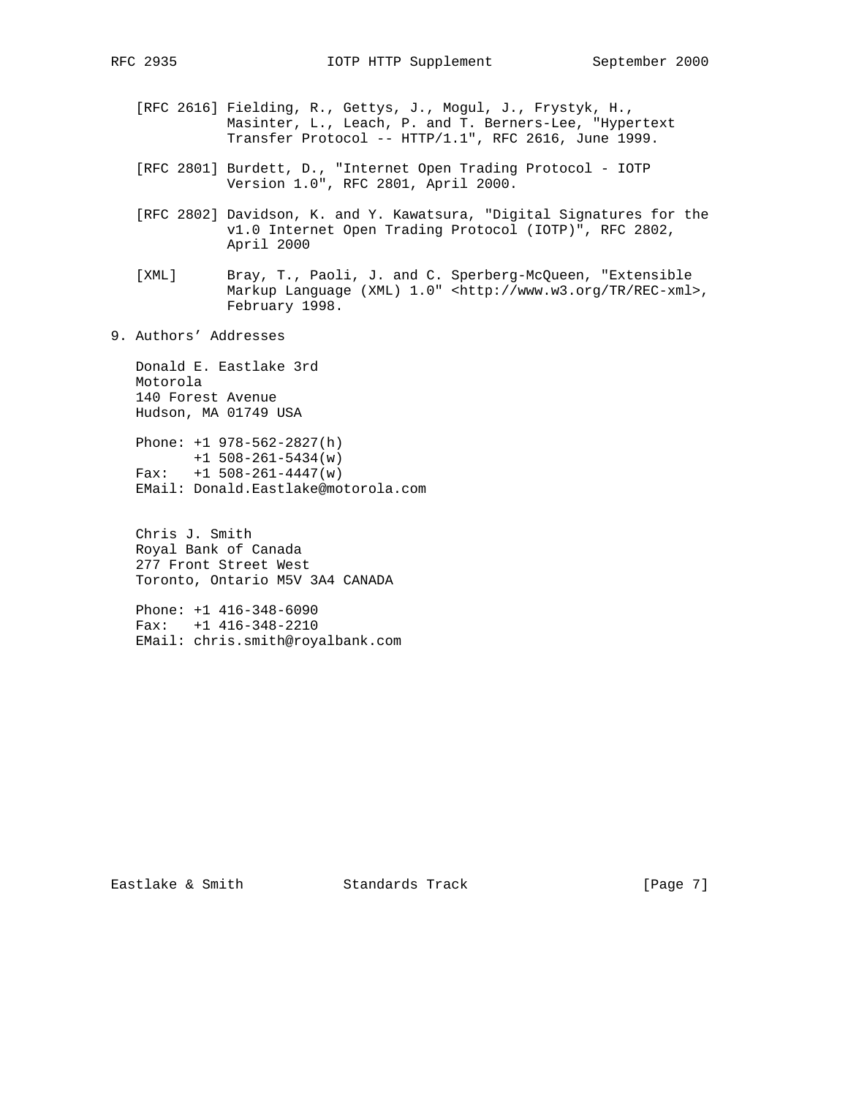- [RFC 2616] Fielding, R., Gettys, J., Mogul, J., Frystyk, H., Masinter, L., Leach, P. and T. Berners-Lee, "Hypertext Transfer Protocol -- HTTP/1.1", RFC 2616, June 1999.
- [RFC 2801] Burdett, D., "Internet Open Trading Protocol IOTP Version 1.0", RFC 2801, April 2000.
	- [RFC 2802] Davidson, K. and Y. Kawatsura, "Digital Signatures for the v1.0 Internet Open Trading Protocol (IOTP)", RFC 2802, April 2000
	- [XML] Bray, T., Paoli, J. and C. Sperberg-McQueen, "Extensible Markup Language (XML) 1.0" <http://www.w3.org/TR/REC-xml>, February 1998.
- 9. Authors' Addresses

 Donald E. Eastlake 3rd Motorola 140 Forest Avenue Hudson, MA 01749 USA

 Phone: +1 978-562-2827(h) +1 508-261-5434(w) Fax: +1 508-261-4447(w) EMail: Donald.Eastlake@motorola.com

 Chris J. Smith Royal Bank of Canada 277 Front Street West Toronto, Ontario M5V 3A4 CANADA

 Phone: +1 416-348-6090 Fax: +1 416-348-2210 EMail: chris.smith@royalbank.com

Eastlake & Smith Standards Track [Page 7]